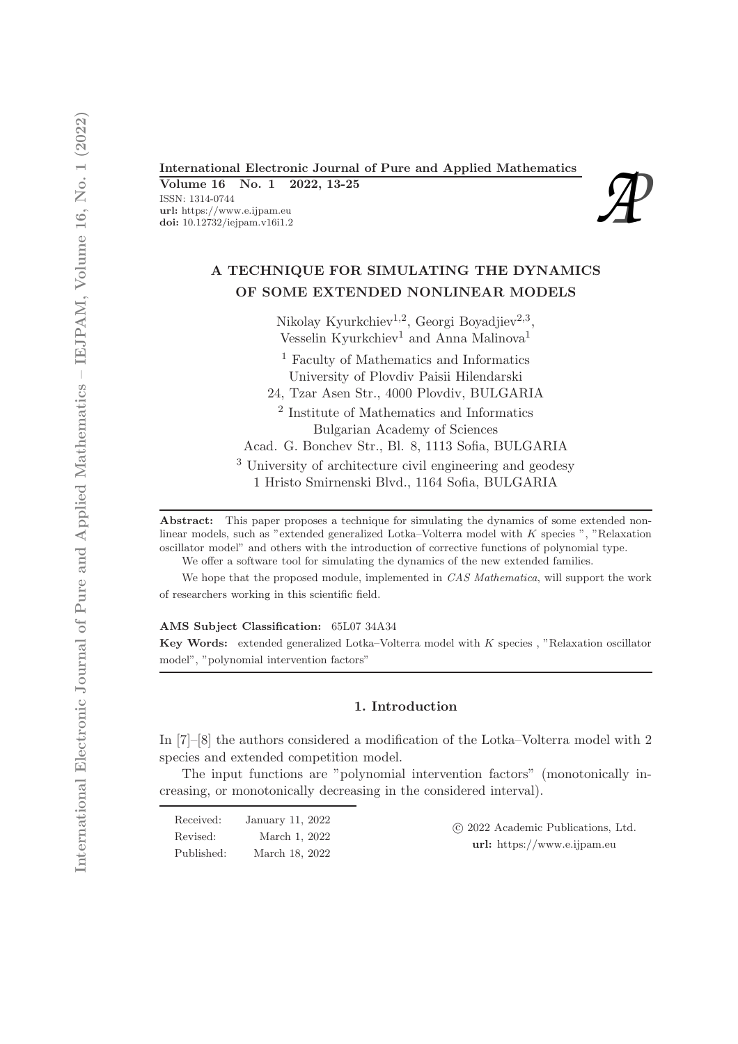International Electronic Journal of Pure and Applied Mathematics<br>
Volume 16 No. 1 2022, 13-25<br>
ISSN: 1314-0744<br>
url: https://www.e.ijpam.eu<br>
doi: 10.12732/iejpam.v16i1.2 Volume 16 No. 1 2022, 13-25 ISSN: 1314-0744 url: https://www.e.ijpam.eu<br>doi: 10.12732/iejpam.v16i1.2

# A TECHNIQUE FOR SIMULATING THE DYNAMICS OF SOME EXTENDED NONLINEAR MODELS

Nikolay Kyurkchiev<sup>1,2</sup>, Georgi Boyadjiev<sup>2,3</sup>, Vesselin Kyurkchiev<sup>1</sup> and Anna Malinova<sup>1</sup>

<sup>1</sup> Faculty of Mathematics and Informatics University of Plovdiv Paisii Hilendarski

24, Tzar Asen Str., 4000 Plovdiv, BULGARIA

2 Institute of Mathematics and Informatics Bulgarian Academy of Sciences

Acad. G. Bonchev Str., Bl. 8, 1113 Sofia, BULGARIA

<sup>3</sup> University of architecture civil engineering and geodesy 1 Hristo Smirnenski Blvd., 1164 Sofia, BULGARIA

Abstract: This paper proposes a technique for simulating the dynamics of some extended nonlinear models, such as "extended generalized Lotka–Volterra model with K species ", "Relaxation oscillator model" and others with the introduction of corrective functions of polynomial type.

We offer a software tool for simulating the dynamics of the new extended families.

We hope that the proposed module, implemented in CAS Mathematica, will support the work of researchers working in this scientific field.

AMS Subject Classification: 65L07 34A34 Key Words: extended generalized Lotka–Volterra model with K species , "Relaxation oscillator model", "polynomial intervention factors"

### 1. Introduction

In [7]–[8] the authors considered a modification of the Lotka–Volterra model with 2 species and extended competition model.

The input functions are "polynomial intervention factors" (monotonically increasing, or monotonically decreasing in the considered interval).

| Received:  | January 11, 2022 | (c) 2022 Academic Publications, Ltd. |
|------------|------------------|--------------------------------------|
| Revised:   | March 1, 2022    | $url:$ https://www.e.ijpam.eu        |
| Published: | March 18, 2022   |                                      |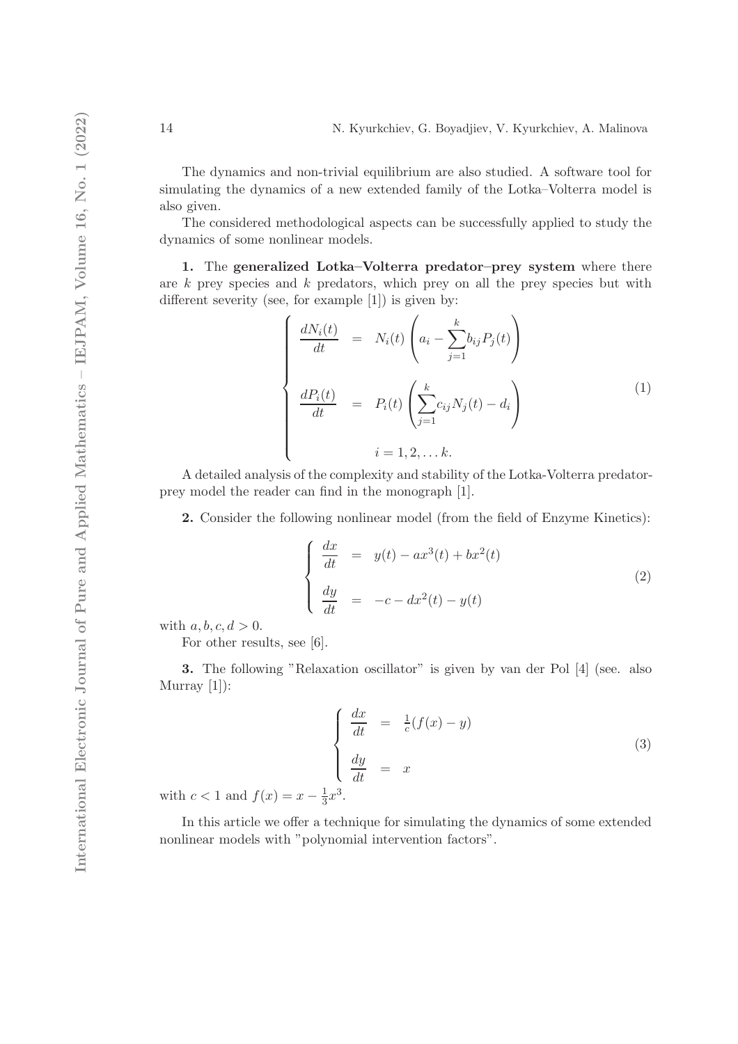The dynamics and non-trivial equilibrium are also studied. A software tool for simulating the dynamics of a new extended family of the Lotka–Volterra model is also given.

The considered methodological aspects can be successfully applied to study the dynamics of some nonlinear models.

1. The generalized Lotka–Volterra predator–prey system where there are  $k$  prey species and  $k$  predators, which prey on all the prey species but with different severity (see, for example [1]) is given by:

$$
\begin{cases}\n\frac{dN_i(t)}{dt} = N_i(t) \left( a_i - \sum_{j=1}^k b_{ij} P_j(t) \right) \\
\frac{dP_i(t)}{dt} = P_i(t) \left( \sum_{j=1}^k c_{ij} N_j(t) - d_i \right) \\
i = 1, 2, \dots k.\n\end{cases}
$$
\n(1)

A detailed analysis of the complexity and stability of the Lotka-Volterra predatorprey model the reader can find in the monograph [1].

2. Consider the following nonlinear model (from the field of Enzyme Kinetics):

$$
\begin{cases}\n\frac{dx}{dt} = y(t) - ax^3(t) + bx^2(t) \\
\frac{dy}{dt} = -c - dx^2(t) - y(t)\n\end{cases}
$$
\n(2)

with  $a, b, c, d > 0$ .

For other results, see [6].

3. The following "Relaxation oscillator" is given by van der Pol [4] (see. also Murray [1]):

$$
\begin{cases}\n\frac{dx}{dt} = \frac{1}{c}(f(x) - y) \\
\frac{dy}{dt} = x\n\end{cases}
$$
\n(3)

with  $c < 1$  and  $f(x) = x - \frac{1}{3}$  $\frac{1}{3}x^3$ .

In this article we offer a technique for simulating the dynamics of some extended nonlinear models with "polynomial intervention factors".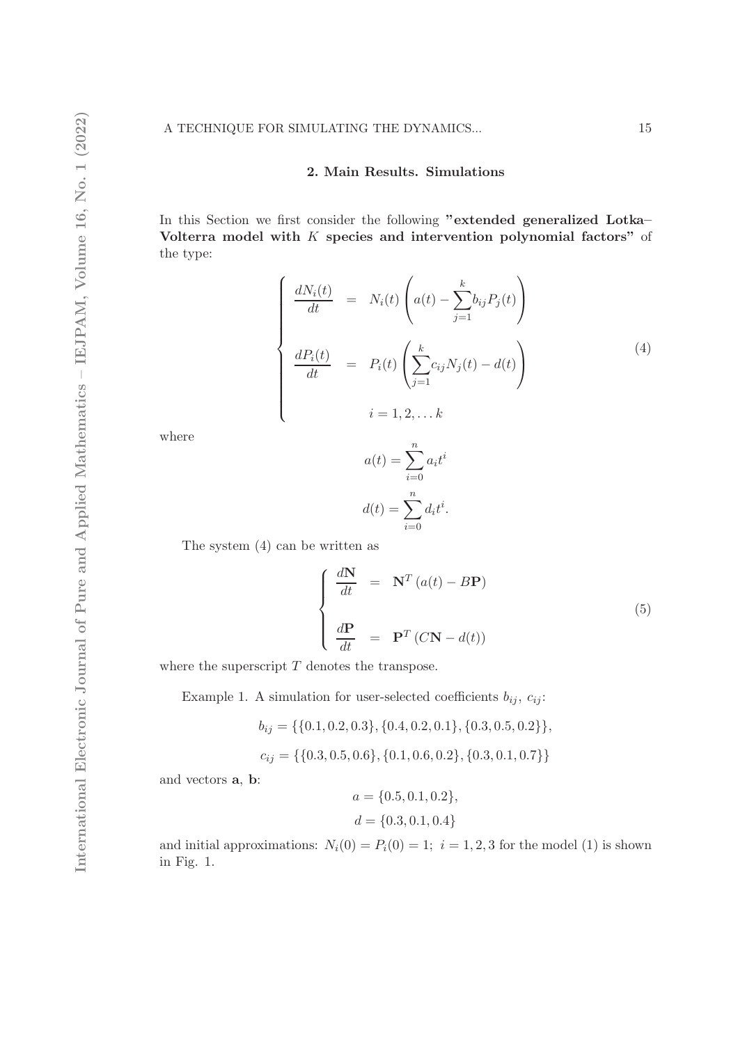# 2. Main Results. Simulations

In this Section we first consider the following "extended generalized Lotka– Volterra model with  $K$  species and intervention polynomial factors" of the type:

$$
\begin{cases}\n\frac{dN_i(t)}{dt} = N_i(t) \left( a(t) - \sum_{j=1}^k b_{ij} P_j(t) \right) \\
\frac{dP_i(t)}{dt} = P_i(t) \left( \sum_{j=1}^k c_{ij} N_j(t) - d(t) \right) \\
i = 1, 2, \dots k\n\end{cases}
$$
\n(4)

where

$$
a(t) = \sum_{i=0}^{n} a_i t^i
$$

$$
d(t) = \sum_{i=0}^{n} d_i t^i.
$$

The system (4) can be written as

$$
\begin{cases}\n\frac{d\mathbf{N}}{dt} = \mathbf{N}^T (a(t) - B\mathbf{P}) \\
\frac{d\mathbf{P}}{dt} = \mathbf{P}^T (C\mathbf{N} - d(t))\n\end{cases}
$$
\n(5)

where the superscript  $T$  denotes the transpose.

Example 1. A simulation for user-selected coefficients  $b_{ij}$ ,  $c_{ij}$ :

$$
\begin{aligned} b_{ij} &= \{\{0.1, 0.2, 0.3\}, \{0.4, 0.2, 0.1\}, \{0.3, 0.5, 0.2\}\}, \\ c_{ij} &= \{\{0.3, 0.5, 0.6\}, \{0.1, 0.6, 0.2\}, \{0.3, 0.1, 0.7\}\} \end{aligned}
$$

and vectors a, b:

$$
a = \{0.5, 0.1, 0.2\},
$$
  

$$
d = \{0.3, 0.1, 0.4\}
$$

and initial approximations:  $N_i(0) = P_i(0) = 1$ ;  $i = 1, 2, 3$  for the model (1) is shown in Fig. 1.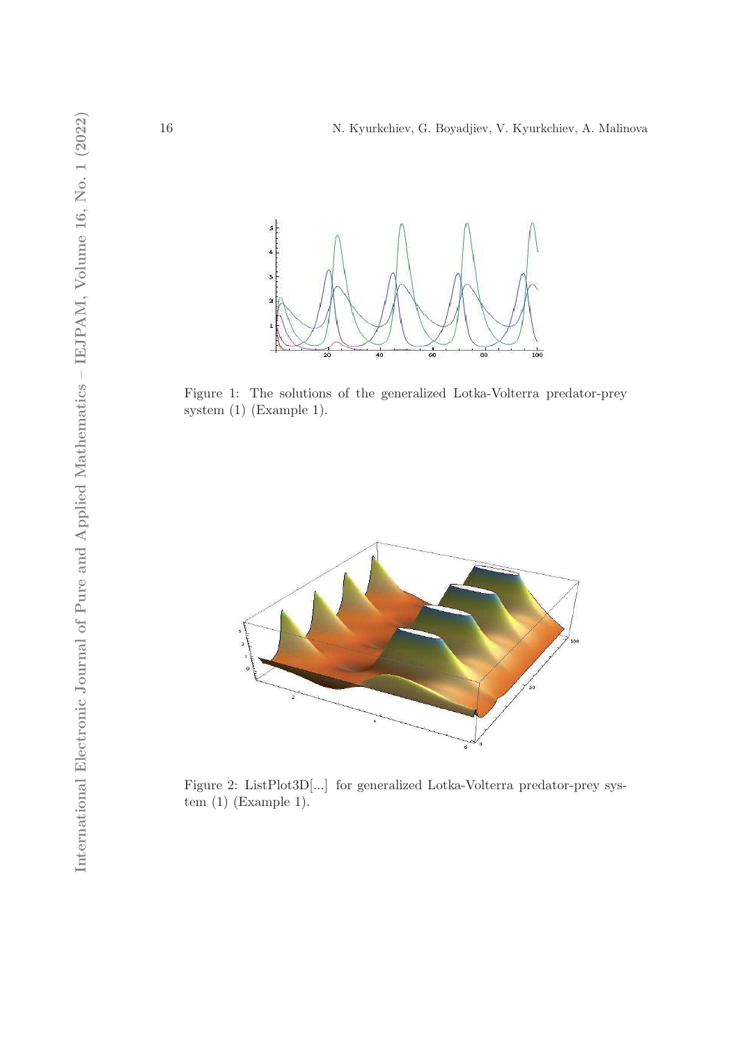

Figure 1: The solutions of the generalized Lotka-Volterra predator-prey system (1) (Example 1).



Figure 2: ListPlot3D[...] for generalized Lotka-Volterra predator-prey system (1) (Example 1).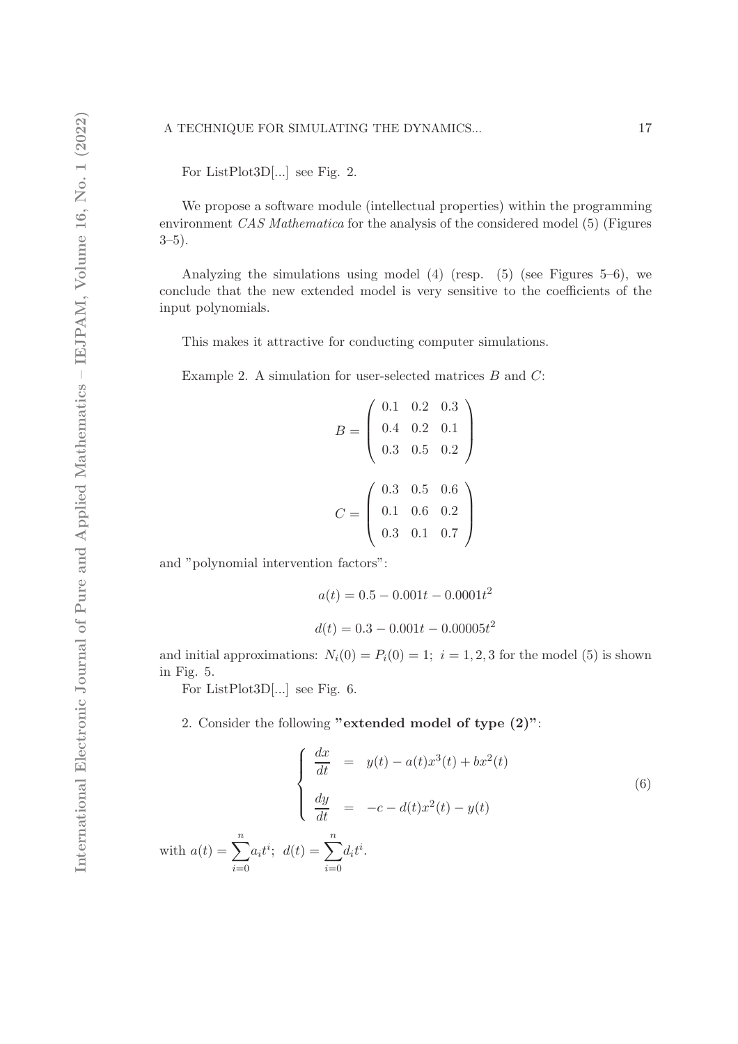For ListPlot3D[...] see Fig. 2.

We propose a software module (intellectual properties) within the programming environment CAS Mathematica for the analysis of the considered model (5) (Figures  $3-5$ ).

Analyzing the simulations using model  $(4)$  (resp.  $(5)$  (see Figures 5–6), we conclude that the new extended model is very sensitive to the coefficients of the input polynomials.

This makes it attractive for conducting computer simulations.

Example 2. A simulation for user-selected matrices  $B$  and  $C$ :

$$
B = \left(\begin{array}{ccc} 0.1 & 0.2 & 0.3 \\ 0.4 & 0.2 & 0.1 \\ 0.3 & 0.5 & 0.2 \end{array}\right)
$$

$$
C = \left(\begin{array}{ccc} 0.3 & 0.5 & 0.6 \\ 0.1 & 0.6 & 0.2 \\ 0.3 & 0.1 & 0.7 \end{array}\right)
$$

and "polynomial intervention factors":

$$
a(t) = 0.5 - 0.001t - 0.0001t^2
$$

$$
d(t) = 0.3 - 0.001t - 0.00005t^2
$$

and initial approximations:  $N_i(0) = P_i(0) = 1$ ;  $i = 1, 2, 3$  for the model (5) is shown in Fig. 5.

For ListPlot3D[...] see Fig. 6.

2. Consider the following "extended model of type (2)":

$$
\begin{cases}\n\frac{dx}{dt} = y(t) - a(t)x^{3}(t) + bx^{2}(t) \\
\frac{dy}{dt} = -c - d(t)x^{2}(t) - y(t)\n\end{cases}
$$
\n(6)

\nwith 
$$
a(t) = \sum_{i=0}^{n} a_{i}t^{i}; \ d(t) = \sum_{i=0}^{n} d_{i}t^{i}.
$$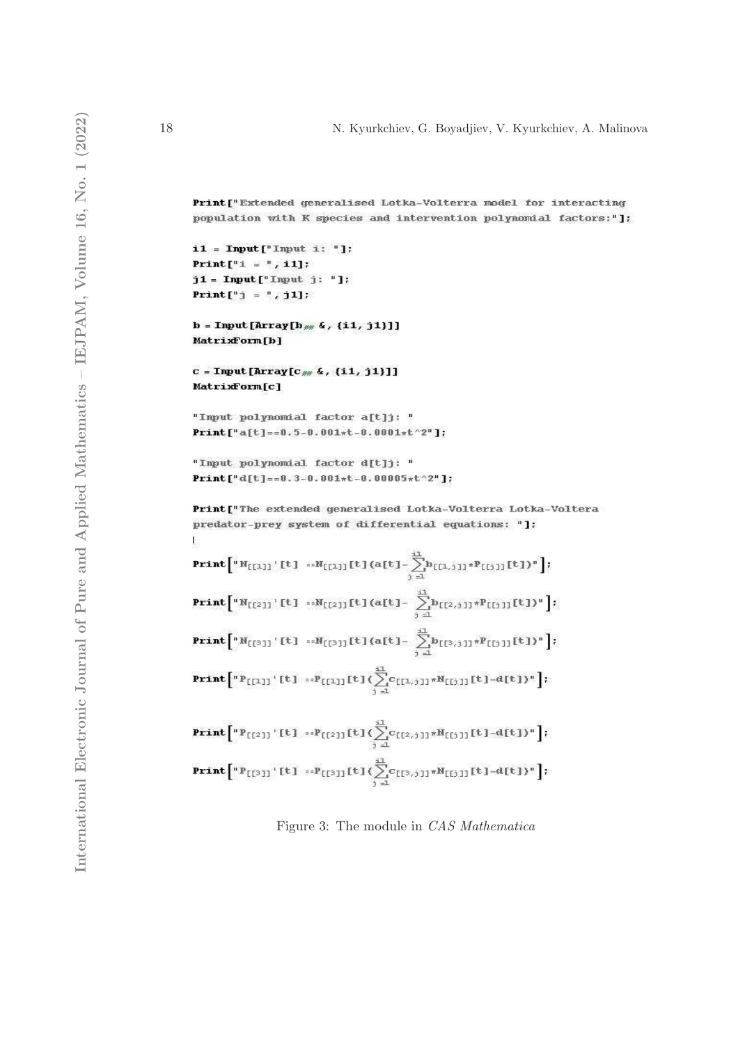Print ["Extended generalised Lotka-Volterra model for interacting population with K species and intervention polynomial factors:"];

 $i1 = Input["Input i: "]:$ Print  $[$ "i = ", i1];  $j1 = Input["Input j: "]:$ **Print** $[$ "*j* = ", *j*1];

 $b = Input[Array[b_{\#} 4, {i1, j1}]]$ MatrixForm[b]

 $c = Input[Array[c_{\#} \&, {i1, j1}]]$ MatrixForm[c]

"Input polynomial factor a[t]j: " Print["a[t]==0.5-0.001\*t-0.0001\*t^2"];

```
"Input polynomial factor d[t]j: "
\text{Print}[\texttt{``d[t] == 0.3 - 0.001 * t - 0.00005 * t^2}];
```
Print["The extended generalised Lotka-Volterra Lotka-Voltera predator-prey system of differential equations: "];  $\mathbf{I}$ 

| $\textbf{Print}\Big[ \text{``\textbf{N}_{[\{1\}]}$}\; \text{``\textbf{U}_{[\{1\}]}\; \textbf{[t]} \; \textbf{}\textbf{N}_{[\{1\}]}\; \textbf{[t]} \; \textbf{(a[t] - }\sum_{i=1}^{m} \! b_{[\{1,i\}] \; *} \! P_{[\{i\}] \; \textbf{[t]}\; \textbf{)} \text{''}}\Big];$ |
|-------------------------------------------------------------------------------------------------------------------------------------------------------------------------------------------------------------------------------------------------------------------------|
| $\textbf{Print}\Big[ \text{``\textbf{N}_{[121]}\text{``$t1} \text{ --}\textbf{N}_{[121]}\text{![t]} (a[t] - \sum_{i=1}^{i1} b_{[12,i1]}\text{``\textbf{P}_{[151]}\text{![t]})\text{''}}\Big];$                                                                          |
| <b>Print</b> $\left[ {}^{n}N_{\left[1^{3}1\right]}\left\{1\right\} \cdots N_{\left[1^{3}1\right]}\left\{1\right\} \left\{a\left[1\right]-\sum_{i=1}^{2n}b_{\left[1^{3},1\right]1}\pi P_{\left[1^{3}1\right]}\left\{1\right\} \right\} \right];$                         |
| <b>Print</b> $\left[ {^nP}_{[11]} \right] \cdot [t] = P_{[11]}[t] \left( \sum_{i=1}^{11} c_{[11,1]} * N_{[i]1]}[t] - d[t] \right) * \right];$                                                                                                                           |
| <b>Print</b> $\left[ {}^{n}P_{\left[\{2\}\right]} \right] \left[ L \right] = P_{\left[\{2\}\right]} \left[ L \right] \left( \sum_{i=1}^{11} C_{\left[\{2,1\}\right]} * N_{\left[\{1\}\right]} \left[ L \right] - d \left[ L \right] \right) \right]$                    |
| $\textbf{Print}\Big[ {}^n P_{[[3]]}\setminus [t] \; \; :: P_{[[3]]}[t] \, (\sum_{j=1}^{11} c_{[[3,j]]} {}^n N_{[[j]]}[t] - d[t])^n \Big];$                                                                                                                              |

Figure 3: The module in CAS Mathematica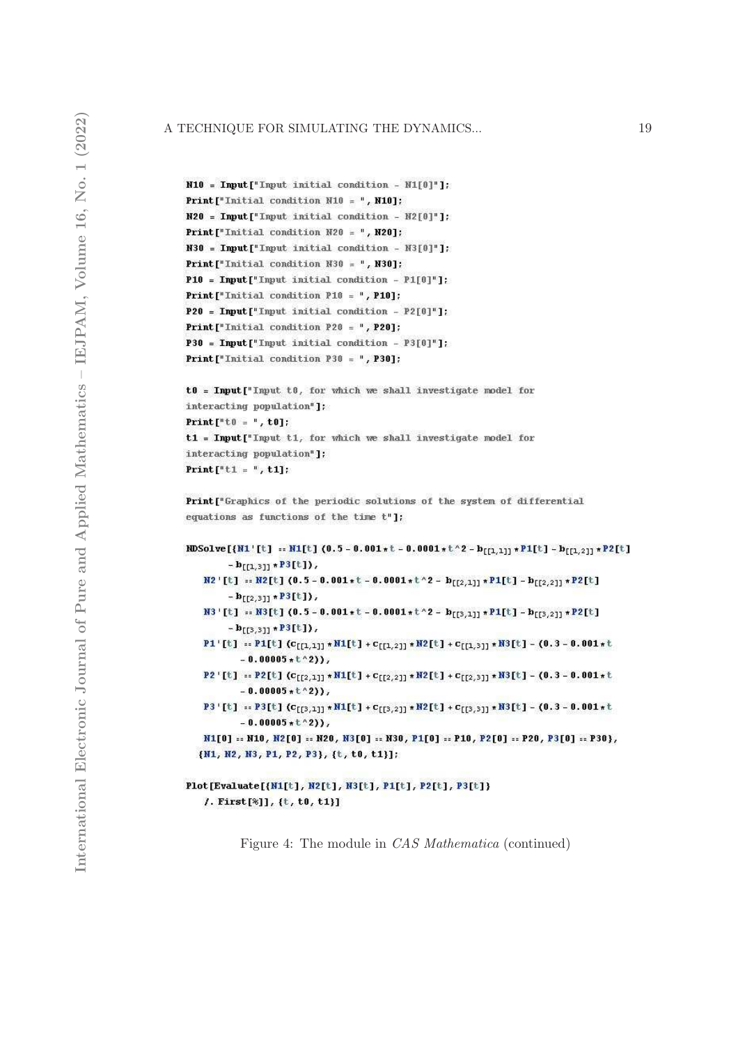```
N10 = Input["Input initial condition - NI[0"]Print["Initial condition N10 = ", N10];
N20 = Input ["Input initial condition - N2[0]"]:
Print["Initial condition M20 = ", M20];
N30 = Input ["Input initial condition - N3[0]"];
Print["Initial condition M30 = ", M30];
P10 = Input["Input initial condition - P1[0"]:
Print["Initial condition P10 = ", P10];
P20 = Input ["Input initial condition - P2[0]"];
Print["Initial condition P20 = ", P20];
P30 = Input["Input initial condition - P3[0]"]:
Print["Initial condition P30 = ", P30];
```

```
t0 = Input["Input t0, for which we shall investigate model for
interacting population"]:
Print[t^n t 0 = 1, t0]:
t1 = Input["Input t1, for which we shall investigate model for
interacting population"];
Print["t1 = ", t1];
```
Print["Graphics of the periodic solutions of the system of differential equations as functions of the time t"];

```
RDSolve[{N1'[t] == N1[t] (0.5 - 0.001 *t - 0.0001 *t^2 - b<sub>[[1,1]]</sub> *P1[t] - b<sub>[[1,2]]</sub> *P2[t]
            - \mathbf{b}_{\text{[f1,31]}} \star \mathbf{P3}[t]),
     M2'[t] == M2[t] (0.5 - 0.001*t - 0.0001*t^2 - b_{[[2,1]]} * P1[t] - b_{[[2,2]]} * P2[t]- \mathbf{b}_{[[2,3]]} \star \mathbf{P3}[\mathbf{t}]),N3'[t] == N3[t] (0.5 - 0.001*t - 0.0001*t^2 - b_{[[3,1]]} * P1[t] - b_{[[3,2]]} * P2[t]- \mathbf{b}_{[[3,3]]} \star \mathbf{P3}[\text{t}]),\texttt{P1}'[t] \ :: \texttt{P1}[t] \ (c_{[[1,1]]} \star \texttt{N1}[t] + c_{[[1,2]]} \star \texttt{N2}[t] + c_{[[1,3]]} \star \texttt{N3}[t] - (0.3 - 0.001 \star t-0.00005*t^2),\verb| P2|[t] := \verb| P2[t] (c_{[[2,1]]} * \verb|N1[t] + c_{[[2,2]]} * \verb|N2[t] + c_{[[2,3]]} * \verb|N3[t] - (0.3 - 0.001 * t-0.00005*t^2),\texttt{P3'[t]} = \texttt{P3[t]} (c_{[[3,1]]} * \texttt{N1[t]} + c_{[[3,2]]} * \texttt{N2[t]} + c_{[[3,3]]} * \texttt{N3[t]} - (0.3 - 0.001 * t-0.00005*t^{2})N1[0] == N10, N2[0] == N20, N3[0] == N30, P1[0] == P10, P2[0] == P20, P3[0] == P30},
   {N1, N2, N3, P1, P2, P3}, {t, t0, t1}];
```
## Plot[Evaluate[{N1[t], N2[t], N3[t], P1[t], P2[t], P3[t]} /. First[%]], {t, t0, t1}]

Figure 4: The module in CAS Mathematica (continued)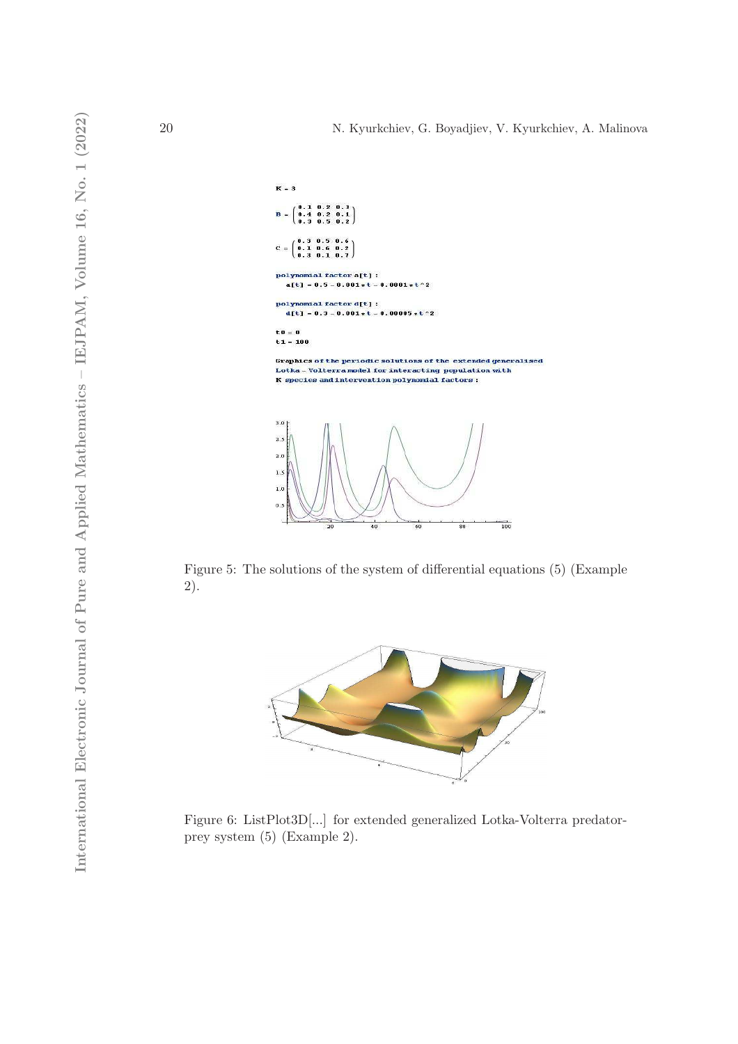$\frac{1}{100}$ 

 $\overline{\mathbf{e}}$ 



Figure 5: The solutions of the system of differential equations (5) (Example 2).

 $\alpha$ 



Figure 6: ListPlot3D[...] for extended generalized Lotka-Volterra predatorprey system (5) (Example 2).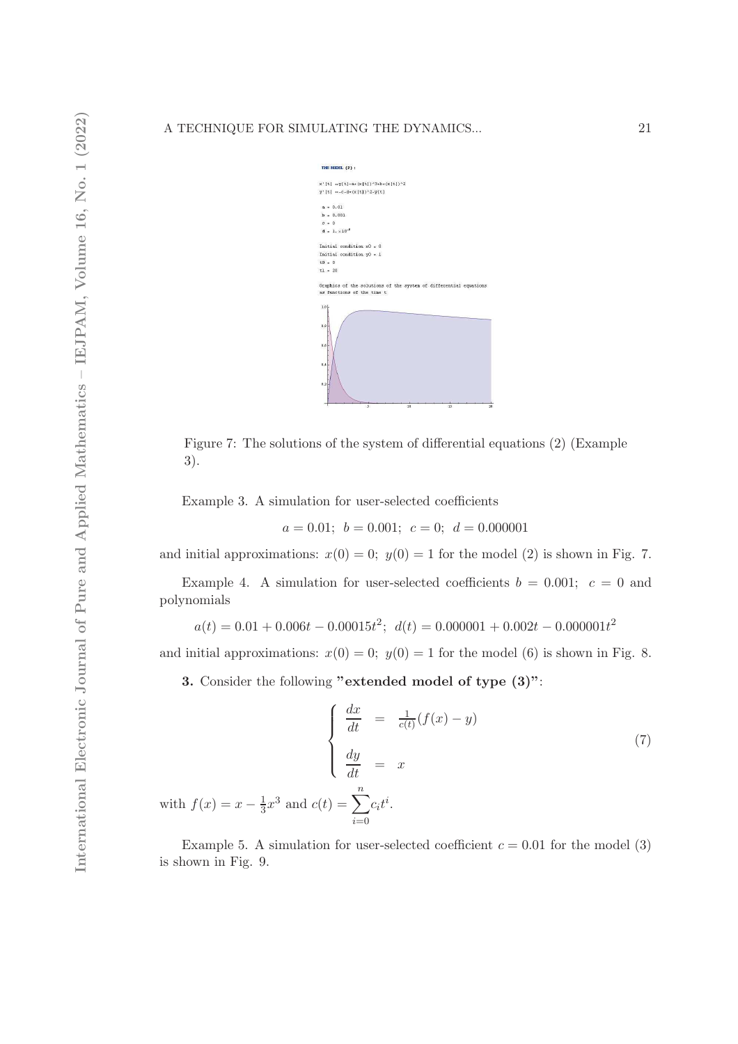| THE RODEL (2) :                                                                                        |
|--------------------------------------------------------------------------------------------------------|
| $x'[t] = y[t]-a*(x[t])^3+b*(x[t])^2$                                                                   |
| $y'[t] = -c - d * (x[t])^2 - y[t]$                                                                     |
| $a = 0.01$                                                                                             |
| $b = 0.001$                                                                                            |
| $c = 0$                                                                                                |
| $d = 1. \times 10^{-6}$                                                                                |
| Initial condition $x0 = 0$                                                                             |
| Initial condition $y0 = 1$                                                                             |
| $t0 = 0$                                                                                               |
| $t1 = 20$                                                                                              |
| Graphics of the solutions of the system of differential equations<br>as functions of the time t<br>1.0 |
| 0.8<br>0.6                                                                                             |
| 0.4                                                                                                    |
| 0.2                                                                                                    |

Figure 7: The solutions of the system of differential equations (2) (Example 3).

Example 3. A simulation for user-selected coefficients

$$
a = 0.01;
$$
  $b = 0.001;$   $c = 0;$   $d = 0.000001$ 

and initial approximations:  $x(0) = 0$ ;  $y(0) = 1$  for the model (2) is shown in Fig. 7.

Example 4. A simulation for user-selected coefficients  $b = 0.001$ ;  $c = 0$  and polynomials

$$
a(t) = 0.01 + 0.006t - 0.00015t^2; d(t) = 0.000001 + 0.002t - 0.000001t^2
$$

and initial approximations:  $x(0) = 0$ ;  $y(0) = 1$  for the model (6) is shown in Fig. 8.

3. Consider the following "extended model of type (3)":

with  $f(x) = x - \frac{1}{3}$ 

$$
\begin{cases}\n\frac{dx}{dt} = \frac{1}{c(t)}(f(x) - y) \\
\frac{dy}{dt} = x\n\end{cases}
$$
\n(7)\n
$$
\frac{1}{3}x^3
$$
 and 
$$
c(t) = \sum_{i=0}^n c_i t^i.
$$

Example 5. A simulation for user-selected coefficient  $c = 0.01$  for the model (3) is shown in Fig. 9.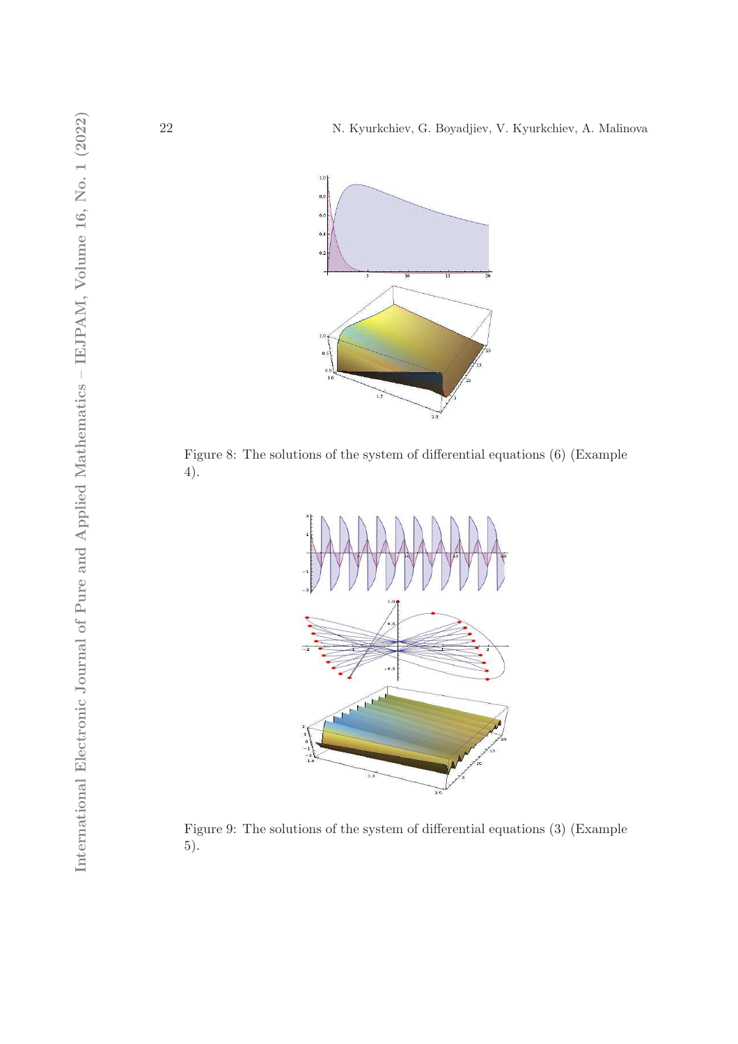

Figure 8: The solutions of the system of differential equations (6) (Example 4).



Figure 9: The solutions of the system of differential equations (3) (Example 5).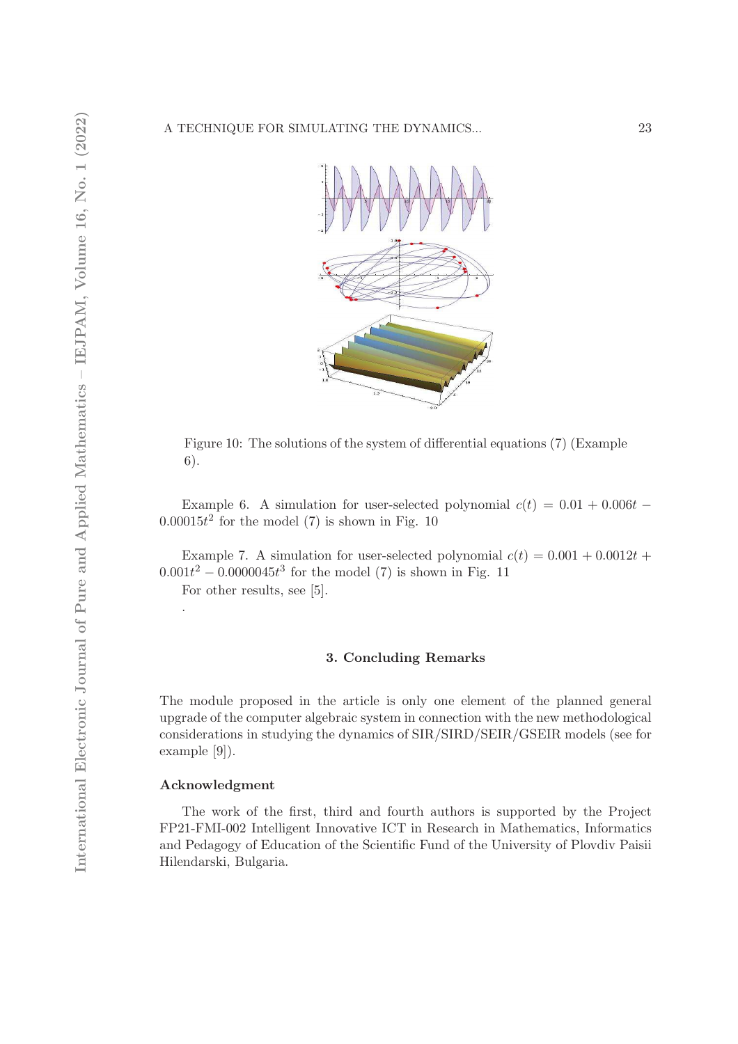

Figure 10: The solutions of the system of differential equations (7) (Example 6).

Example 6. A simulation for user-selected polynomial  $c(t) = 0.01 + 0.006t$  $0.00015t^2$  for the model (7) is shown in Fig. 10

Example 7. A simulation for user-selected polynomial  $c(t) = 0.001 + 0.0012t +$  $0.001t^2 - 0.0000045t^3$  for the model (7) is shown in Fig. 11 For other results, see [5].

# 3. Concluding Remarks

The module proposed in the article is only one element of the planned general upgrade of the computer algebraic system in connection with the new methodological considerations in studying the dynamics of SIR/SIRD/SEIR/GSEIR models (see for example [9]).

#### Acknowledgment

.

The work of the first, third and fourth authors is supported by the Project FP21-FMI-002 Intelligent Innovative ICT in Research in Mathematics, Informatics and Pedagogy of Education of the Scientific Fund of the University of Plovdiv Paisii Hilendarski, Bulgaria.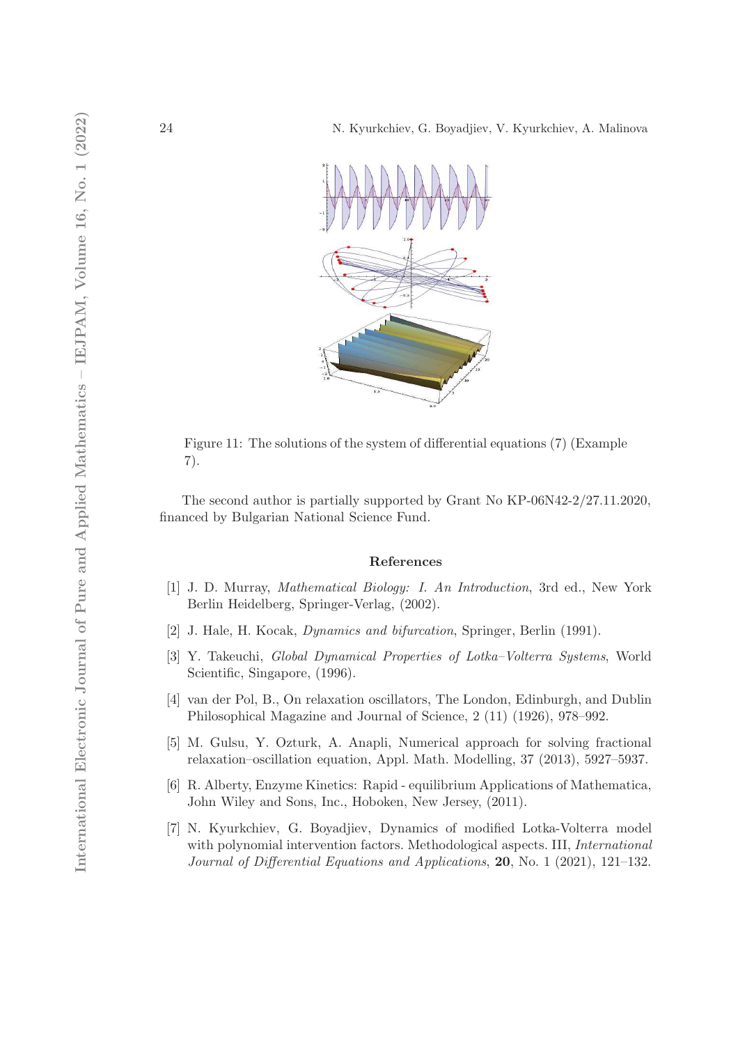

Figure 11: The solutions of the system of differential equations (7) (Example 7).

The second author is partially supported by Grant No KP-06N42-2/27.11.2020, financed by Bulgarian National Science Fund.

# References

- [1] J. D. Murray, Mathematical Biology: I. An Introduction, 3rd ed., New York Berlin Heidelberg, Springer-Verlag, (2002).
- [2] J. Hale, H. Kocak, Dynamics and bifurcation, Springer, Berlin (1991).
- [3] Y. Takeuchi, Global Dynamical Properties of Lotka–Volterra Systems, World Scientific, Singapore, (1996).
- [4] van der Pol, B., On relaxation oscillators, The London, Edinburgh, and Dublin Philosophical Magazine and Journal of Science, 2 (11) (1926), 978–992.
- [5] M. Gulsu, Y. Ozturk, A. Anapli, Numerical approach for solving fractional relaxation–oscillation equation, Appl. Math. Modelling, 37 (2013), 5927–5937.
- [6] R. Alberty, Enzyme Kinetics: Rapid equilibrium Applications of Mathematica, John Wiley and Sons, Inc., Hoboken, New Jersey, (2011).
- [7] N. Kyurkchiev, G. Boyadjiev, Dynamics of modified Lotka-Volterra model with polynomial intervention factors. Methodological aspects. III, *International* Journal of Differential Equations and Applications, 20, No. 1 (2021), 121–132.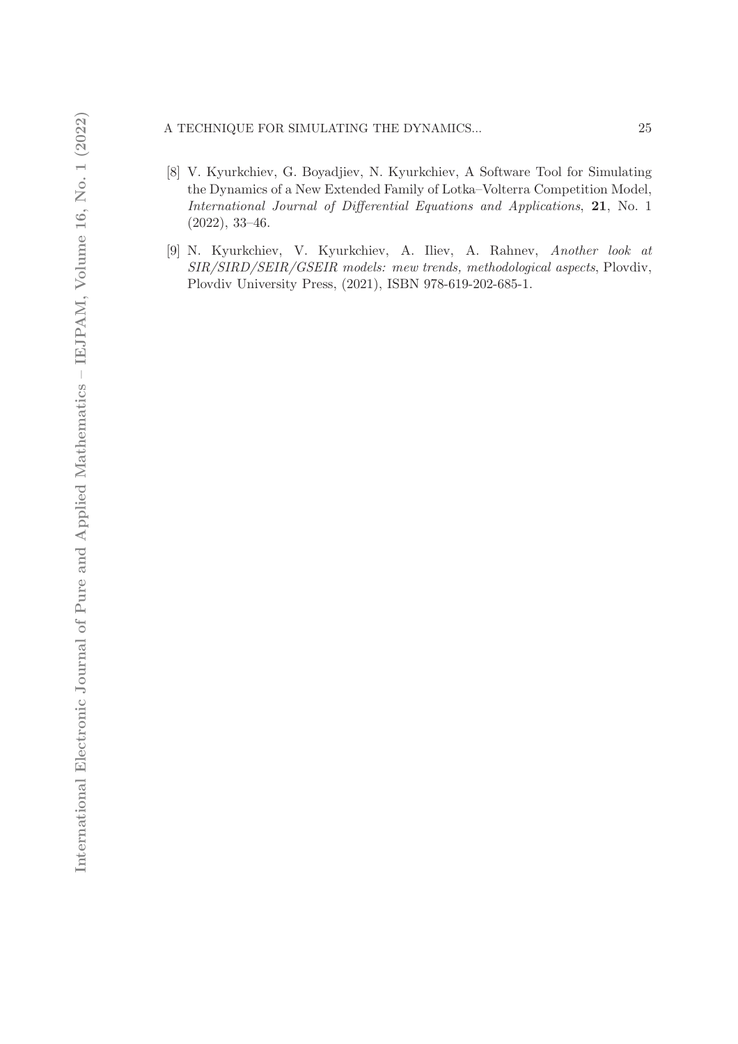# A TECHNIQUE FOR SIMULATING THE DYNAMICS...  $25$

- [8] V. Kyurkchiev, G. Boyadjiev, N. Kyurkchiev, A Software Tool for Simulating the Dynamics of a New Extended Family of Lotka–Volterra Competition Model, International Journal of Differential Equations and Applications, 21, No. 1 (2022), 33–46.
- [9] N. Kyurkchiev, V. Kyurkchiev, A. Iliev, A. Rahnev, Another look at SIR/SIRD/SEIR/GSEIR models: mew trends, methodological aspects, Plovdiv, Plovdiv University Press, (2021), ISBN 978-619-202-685-1.